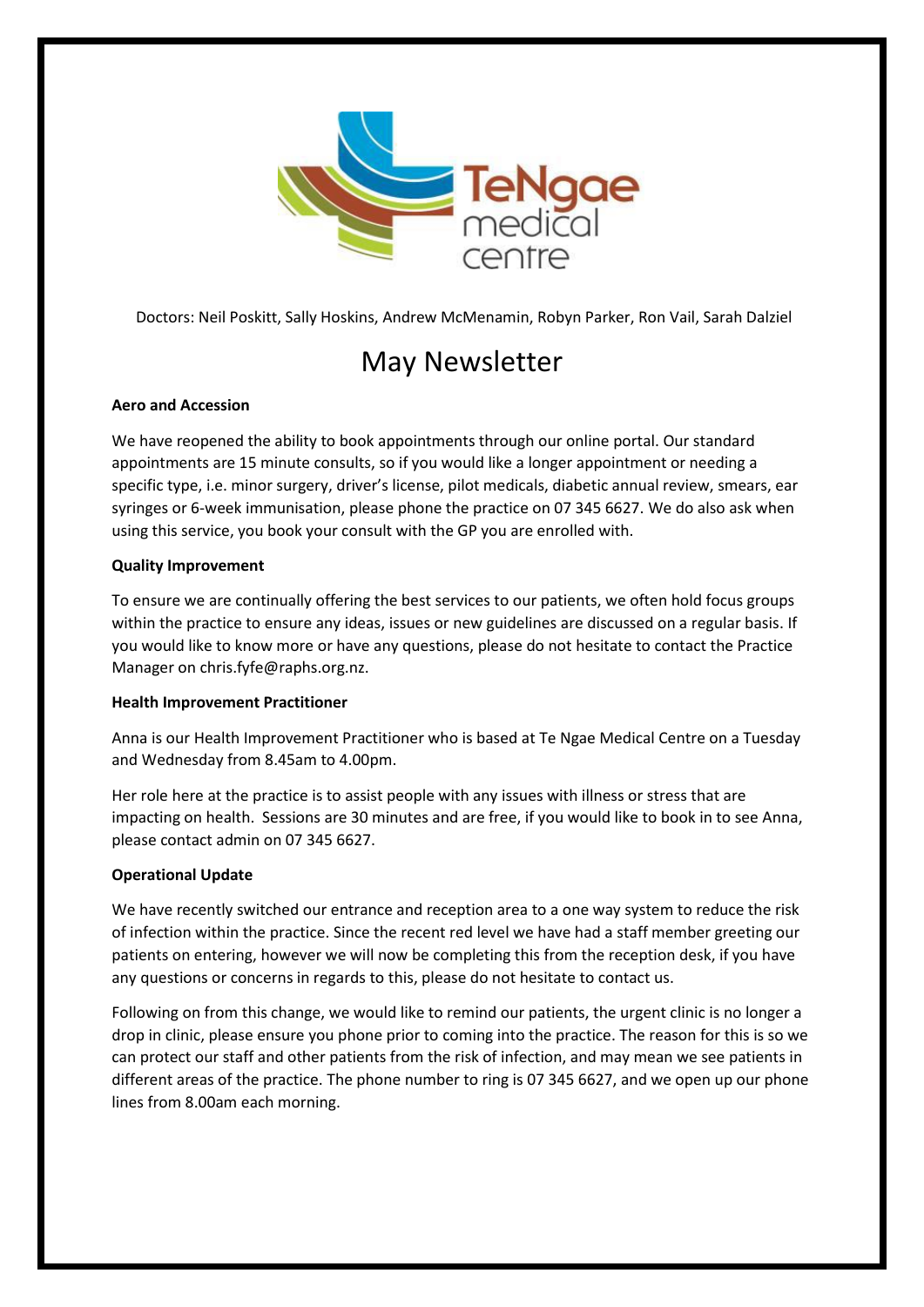

Doctors: Neil Poskitt, Sally Hoskins, Andrew McMenamin, Robyn Parker, Ron Vail, Sarah Dalziel

# May Newsletter

## **Aero and Accession**

We have reopened the ability to book appointments through our online portal. Our standard appointments are 15 minute consults, so if you would like a longer appointment or needing a specific type, i.e. minor surgery, driver's license, pilot medicals, diabetic annual review, smears, ear syringes or 6-week immunisation, please phone the practice on 07 345 6627. We do also ask when using this service, you book your consult with the GP you are enrolled with.

### **Quality Improvement**

To ensure we are continually offering the best services to our patients, we often hold focus groups within the practice to ensure any ideas, issues or new guidelines are discussed on a regular basis. If you would like to know more or have any questions, please do not hesitate to contact the Practice Manager on chris.fyfe@raphs.org.nz.

#### **Health Improvement Practitioner**

Anna is our Health Improvement Practitioner who is based at Te Ngae Medical Centre on a Tuesday and Wednesday from 8.45am to 4.00pm.

Her role here at the practice is to assist people with any issues with illness or stress that are impacting on health. Sessions are 30 minutes and are free, if you would like to book in to see Anna, please contact admin on 07 345 6627.

## **Operational Update**

We have recently switched our entrance and reception area to a one way system to reduce the risk of infection within the practice. Since the recent red level we have had a staff member greeting our patients on entering, however we will now be completing this from the reception desk, if you have any questions or concerns in regards to this, please do not hesitate to contact us.

Following on from this change, we would like to remind our patients, the urgent clinic is no longer a drop in clinic, please ensure you phone prior to coming into the practice. The reason for this is so we can protect our staff and other patients from the risk of infection, and may mean we see patients in different areas of the practice. The phone number to ring is 07 345 6627, and we open up our phone lines from 8.00am each morning.